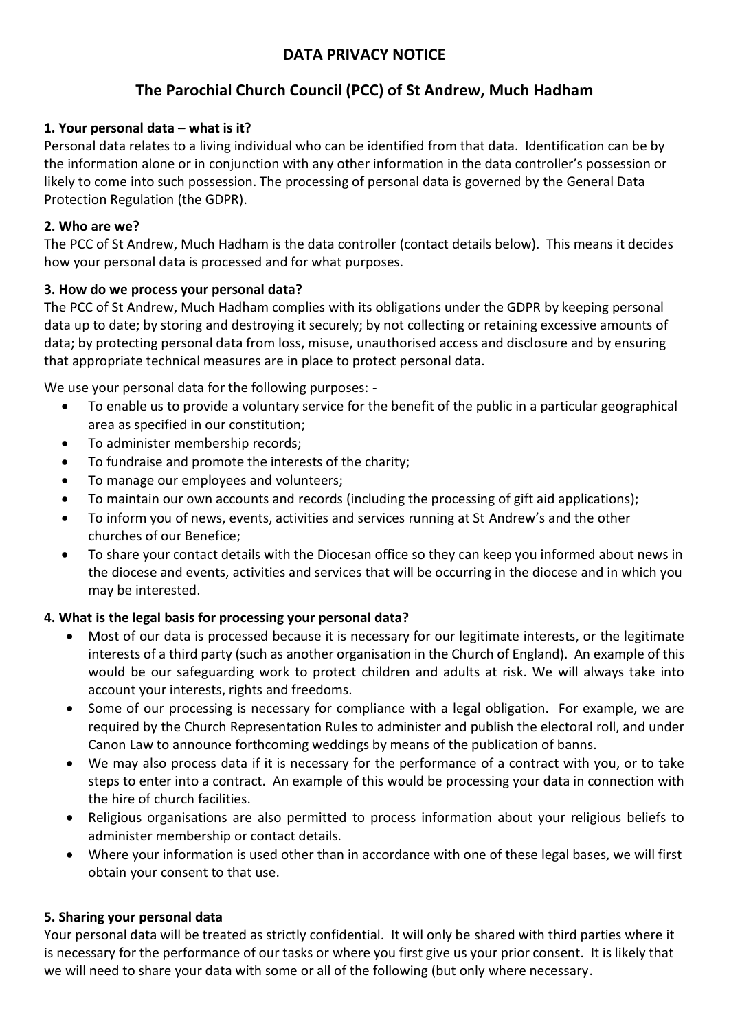## **DATA PRIVACY NOTICE**

# **The Parochial Church Council (PCC) of St Andrew, Much Hadham**

## **1. Your personal data – what is it?**

Personal data relates to a living individual who can be identified from that data. Identification can be by the information alone or in conjunction with any other information in the data controller's possession or likely to come into such possession. The processing of personal data is governed by the General Data Protection Regulation (the GDPR).

#### **2. Who are we?**

The PCC of St Andrew, Much Hadham is the data controller (contact details below). This means it decides how your personal data is processed and for what purposes.

#### **3. How do we process your personal data?**

The PCC of St Andrew, Much Hadham complies with its obligations under the GDPR by keeping personal data up to date; by storing and destroying it securely; by not collecting or retaining excessive amounts of data; by protecting personal data from loss, misuse, unauthorised access and disclosure and by ensuring that appropriate technical measures are in place to protect personal data.

We use your personal data for the following purposes: -

- To enable us to provide a voluntary service for the benefit of the public in a particular geographical area as specified in our constitution;
- To administer membership records;
- To fundraise and promote the interests of the charity;
- To manage our employees and volunteers;
- To maintain our own accounts and records (including the processing of gift aid applications);
- To inform you of news, events, activities and services running at St Andrew's and the other churches of our Benefice;
- To share your contact details with the Diocesan office so they can keep you informed about news in the diocese and events, activities and services that will be occurring in the diocese and in which you may be interested.

#### **4. What is the legal basis for processing your personal data?**

- Most of our data is processed because it is necessary for our legitimate interests, or the legitimate interests of a third party (such as another organisation in the Church of England). An example of this would be our safeguarding work to protect children and adults at risk. We will always take into account your interests, rights and freedoms.
- Some of our processing is necessary for compliance with a legal obligation. For example, we are required by the Church Representation Rules to administer and publish the electoral roll, and under Canon Law to announce forthcoming weddings by means of the publication of banns.
- We may also process data if it is necessary for the performance of a contract with you, or to take steps to enter into a contract. An example of this would be processing your data in connection with the hire of church facilities.
- Religious organisations are also permitted to process information about your religious beliefs to administer membership or contact details.
- Where your information is used other than in accordance with one of these legal bases, we will first obtain your consent to that use.

#### **5. Sharing your personal data**

Your personal data will be treated as strictly confidential. It will only be shared with third parties where it is necessary for the performance of our tasks or where you first give us your prior consent. It is likely that we will need to share your data with some or all of the following (but only where necessary.